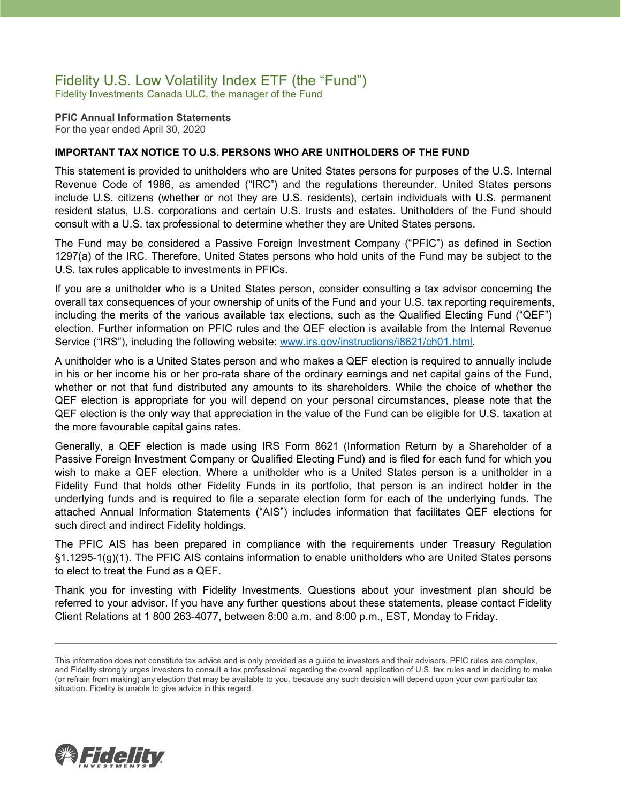### Fidelity U.S. Low Volatility Index ETF (the "Fund")

Fidelity Investments Canada ULC, the manager of the Fund

**PFIC Annual Information Statements** For the year ended April 30, 2020

### **IMPORTANT TAX NOTICE TO U.S. PERSONS WHO ARE UNITHOLDERS OF THE FUND**

This statement is provided to unitholders who are United States persons for purposes of the U.S. Internal Revenue Code of 1986, as amended ("IRC") and the regulations thereunder. United States persons include U.S. citizens (whether or not they are U.S. residents), certain individuals with U.S. permanent resident status, U.S. corporations and certain U.S. trusts and estates. Unitholders of the Fund should consult with a U.S. tax professional to determine whether they are United States persons.

The Fund may be considered a Passive Foreign Investment Company ("PFIC") as defined in Section 1297(a) of the IRC. Therefore, United States persons who hold units of the Fund may be subject to the U.S. tax rules applicable to investments in PFICs.

If you are a unitholder who is a United States person, consider consulting a tax advisor concerning the overall tax consequences of your ownership of units of the Fund and your U.S. tax reporting requirements, including the merits of the various available tax elections, such as the Qualified Electing Fund ("QEF") election. Further information on PFIC rules and the QEF election is available from the Internal Revenue Service ("IRS"), including the following website: [www.irs.gov/instructions/i8621/ch01.html.](http://www.irs.gov/instructions/i8621/ch01.html)

A unitholder who is a United States person and who makes a QEF election is required to annually include in his or her income his or her pro-rata share of the ordinary earnings and net capital gains of the Fund, whether or not that fund distributed any amounts to its shareholders. While the choice of whether the QEF election is appropriate for you will depend on your personal circumstances, please note that the QEF election is the only way that appreciation in the value of the Fund can be eligible for U.S. taxation at the more favourable capital gains rates.

Generally, a QEF election is made using IRS Form 8621 (Information Return by a Shareholder of a Passive Foreign Investment Company or Qualified Electing Fund) and is filed for each fund for which you wish to make a QEF election. Where a unitholder who is a United States person is a unitholder in a Fidelity Fund that holds other Fidelity Funds in its portfolio, that person is an indirect holder in the underlying funds and is required to file a separate election form for each of the underlying funds. The attached Annual Information Statements ("AIS") includes information that facilitates QEF elections for such direct and indirect Fidelity holdings.

The PFIC AIS has been prepared in compliance with the requirements under Treasury Regulation §1.1295-1(g)(1). The PFIC AIS contains information to enable unitholders who are United States persons to elect to treat the Fund as a QEF.

Thank you for investing with Fidelity Investments. Questions about your investment plan should be referred to your advisor. If you have any further questions about these statements, please contact Fidelity Client Relations at 1 800 263-4077, between 8:00 a.m. and 8:00 p.m., EST, Monday to Friday.



This information does not constitute tax advice and is only provided as a guide to investors and their advisors. PFIC rules are complex, and Fidelity strongly urges investors to consult a tax professional regarding the overall application of U.S. tax rules and in deciding to make (or refrain from making) any election that may be available to you, because any such decision will depend upon your own particular tax situation. Fidelity is unable to give advice in this regard.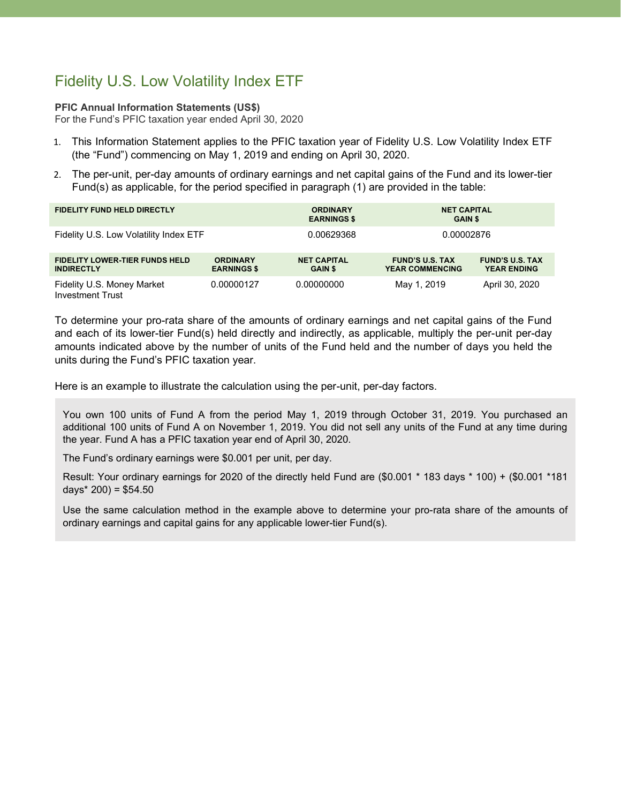# Fidelity U.S. Low Volatility Index ETF

#### **PFIC Annual Information Statements (US\$)**

For the Fund's PFIC taxation year ended April 30, 2020

- 1. This Information Statement applies to the PFIC taxation year of Fidelity U.S. Low Volatility Index ETF (the "Fund") commencing on May 1, 2019 and ending on April 30, 2020.
- 2. The per-unit, per-day amounts of ordinary earnings and net capital gains of the Fund and its lower-tier Fund(s) as applicable, for the period specified in paragraph (1) are provided in the table:

| <b>FIDELITY FUND HELD DIRECTLY</b>                         |                                       | <b>ORDINARY</b><br><b>EARNINGS \$</b> | <b>NET CAPITAL</b><br><b>GAIN \$</b>             |                                              |
|------------------------------------------------------------|---------------------------------------|---------------------------------------|--------------------------------------------------|----------------------------------------------|
| Fidelity U.S. Low Volatility Index ETF                     |                                       | 0.00629368                            | 0.00002876                                       |                                              |
| <b>FIDELITY LOWER-TIER FUNDS HELD</b><br><b>INDIRECTLY</b> | <b>ORDINARY</b><br><b>EARNINGS \$</b> | <b>NET CAPITAL</b><br><b>GAIN \$</b>  | <b>FUND'S U.S. TAX</b><br><b>YEAR COMMENCING</b> | <b>FUND'S U.S. TAX</b><br><b>YEAR ENDING</b> |
| Fidelity U.S. Money Market<br><b>Investment Trust</b>      | 0.00000127                            | 0.00000000                            | May 1, 2019                                      | April 30, 2020                               |

To determine your pro-rata share of the amounts of ordinary earnings and net capital gains of the Fund and each of its lower-tier Fund(s) held directly and indirectly, as applicable, multiply the per-unit per-day amounts indicated above by the number of units of the Fund held and the number of days you held the units during the Fund's PFIC taxation year.

Here is an example to illustrate the calculation using the per-unit, per-day factors.

You own 100 units of Fund A from the period May 1, 2019 through October 31, 2019. You purchased an additional 100 units of Fund A on November 1, 2019. You did not sell any units of the Fund at any time during the year. Fund A has a PFIC taxation year end of April 30, 2020.

The Fund's ordinary earnings were \$0.001 per unit, per day.

Result: Your ordinary earnings for 2020 of the directly held Fund are (\$0.001 \* 183 days \* 100) + (\$0.001 \*181 days $*$  200) = \$54.50

Use the same calculation method in the example above to determine your pro-rata share of the amounts of ordinary earnings and capital gains for any applicable lower-tier Fund(s).